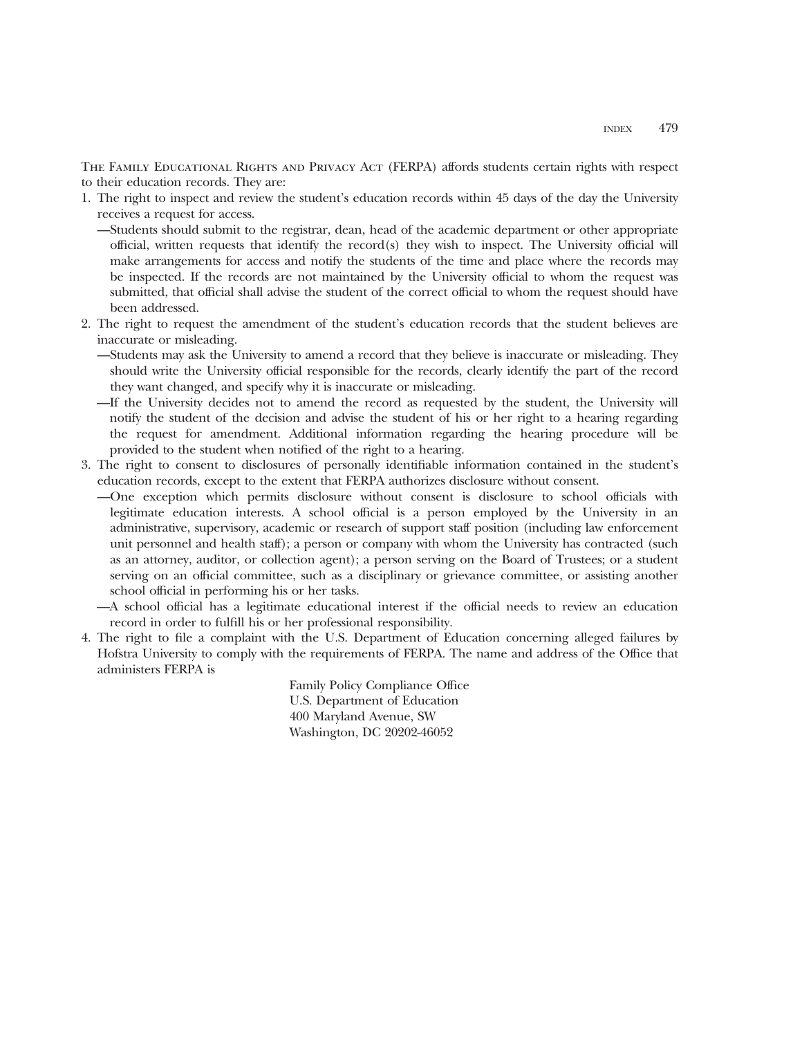THE FAMILY EDUCATIONAL RIGHTS AND PRIVACY ACT (FERPA) affords students certain rights with respect to their education records. They are:

- 1. The right to inspect and review the student's education records within 45 days of the day the University receives a request for access.
	- —Students should submit to the registrar, dean, head of the academic department or other appropriate official, written requests that identify the record(s) they wish to inspect. The University official will make arrangements for access and notify the students of the time and place where the records may be inspected. If the records are not maintained by the University official to whom the request was submitted, that official shall advise the student of the correct official to whom the request should have been addressed.
- 2. The right to request the amendment of the student's education records that the student believes are inaccurate or misleading.
	- —Students may ask the University to amend a record that they believe is inaccurate or misleading. They should write the University official responsible for the records, clearly identify the part of the record they want changed, and specify why it is inaccurate or misleading.
	- —If the University decides not to amend the record as requested by the student, the University will notify the student of the decision and advise the student of his or her right to a hearing regarding the request for amendment. Additional information regarding the hearing procedure will be provided to the student when notified of the right to a hearing.
- 3. The right to consent to disclosures of personally identifiable information contained in the student's education records, except to the extent that FERPA authorizes disclosure without consent.
	- —One exception which permits disclosure without consent is disclosure to school officials with legitimate education interests. A school official is a person employed by the University in an administrative, supervisory, academic or research of support staff position (including law enforcement unit personnel and health staff); a person or company with whom the University has contracted (such as an attorney, auditor, or collection agent); a person serving on the Board of Trustees; or a student serving on an official committee, such as a disciplinary or grievance committee, or assisting another school official in performing his or her tasks.
	- —A school official has a legitimate educational interest if the official needs to review an education record in order to fulfill his or her professional responsibility.
- 4. The right to file a complaint with the U.S. Department of Education concerning alleged failures by Hofstra University to comply with the requirements of FERPA. The name and address of the Office that administers FERPA is

Family Policy Compliance Office U.S. Department of Education 400 Maryland Avenue, SW Washington, DC 20202-46052